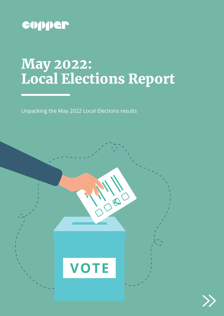

## May 2022: Local Elections Report

Unpacking the May 2022 Local Elections results



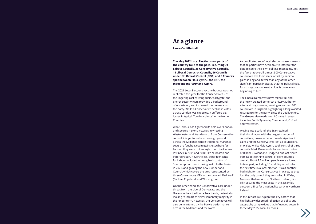## At a glance

**Laura Cunliffe-Hall**

**The May 2022 Local Elections saw parts of the country take to the polls, returning 74 Labour Councils, 35 Conservative Councils, 16 Liberal Democrat Councils, 66 Councils under No Overall Control (NOC) and 9 Councils split between Plaid Cymru, the SNP, the Independent Party and Aspire.**

The 2021 Local Elections vaccine bounce was not replicated this year for the Conservatives – as the lingering cost of living crisis, 'partygate' and energy security fears provided a background of uncertainty and increased the pressure on the party. While a Conservative decline in votes across London was expected, it suffered big losses in typical 'Tory heartlands' in the Home Counties.

While Labour has tightened its hold over London and secured historic victories in wresting Westminster and Wandsworth from Conservative control, it is yet to make up enough ground across the Midlands where traditional marginal seats are fought. Despite gains elsewhere for Labour, they were not enough to win back areas lost back in 2005 and 2010, like Nuneaton and Peterborough. Nevertheless, other highlights for Labour included winning back control of Southampton council having lost it to the Tories in 2021, and gaining the new Cumberland Council, which covers the area represented by three Conservative MPs in the so-called 'Red Wall' (Carlisle, Copeland, and Workington).

On the other hand, the Conservatives are under threat from the Liberal Democrats and the Greens in their traditional heartlands, potentially looking to impact their Parliamentary majority in the longer term. However, the Conservatives will also be heartened by the Party's performance across the Midlands and the North.

A complicated set of local elections results means that all parties have been able to interpret the data to serve their own political messaging. Yet the fact that overall, almost 500 Conservative councillors lost their seats, offset by minimal gains in England, fewer than any of the other significant parties indicates that the political tide, for so long predominantly blue, is once again beginning to turn.

The Liberal Democrats have taken Hull and the newly-created Somerset unitary authority after a strong showing, gaining more than 100 councillors in England, highlighting a long-awaited resurgence for the party since the Coalition era. The Greens also made over 80 gains in areas including South Tyneside, Cumberland, Oxford and Worcester.

Moving into Scotland, the SNP retained their domination with the largest number of councillors, however Labour made significant gains and the Conservatives lost 63 councillors. In Wales, whilst Plaid Cymru took control of three councils, Mark Drakeford's Labour took control of Blaenau Gwent and Bridgend but lost Neath Port Talbot winning control of eight councils overall. About 2.2 million people were allowed to take part, including 16 and 17-year-olds for the first time in a local election. It was another bad night for the Conservatives in Wales, as they lost the only council they controlled in Wales, Monmouthshire. And in Northern Ireland, Sinn Féin secured the most seats in the assembly election, a first for a nationalist party in Northern Ireland.

In this report, we explore the key battles that highlight a widespread reflection of policy and geography complexities that influenced voters in these May 2022 Local Elections.

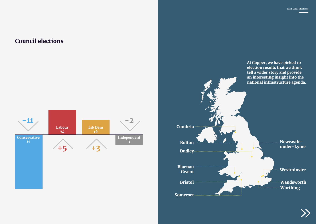## Council elections

At Copper, we have picked 10 election results that we think tell a wider story and provide an interesting insight into the national infrastructure agenda.



# Newcastleunder-Lyme Westminster Wandsworth Worthing



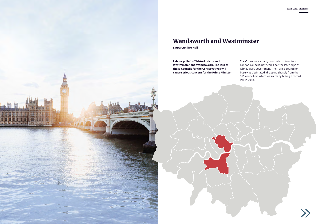

## Wandsworth and Westminster

**Laura Cunliffe-Hall**

**Labour pulled off historic victories in Westminster and Wandsworth. The loss of these Councils for the Conservatives will cause serious concern for the Prime Minister.** 

The Conservative party now only controls four London councils, not seen since the later days of John Major's government. The Tories' councillor base was decimated, dropping sharply from the 511 councillors which was already hitting a record low in 2018.

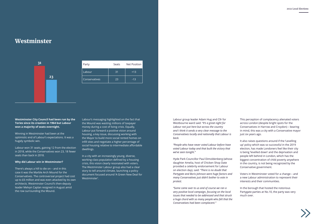### Westminster

**Westminster City Council had been run by the Tories since its creation in 1964 but Labour won a majority of seats overnight.**

Winning in Westminster had been at the optimistic end of Labour's expectations. It was a hugely symbolic win.

Labour won 31 seats, gaining 12 from the election in 2018, while the Conservatives won 23, 18 fewer seats than back in 2018.

#### **Why did Labour win in Westminster?**

There's always a hill to die on – and in this case it was the Marble Arch Mound for the Conservatives. The controversial project had cost up to £6 million and was even attacked by its own architects. Westminster Council's then-deputy leader Melvyn Caplan resigned in August amid the row surrounding the Mound.

Labour's messaging highlighted on the fact that the Mound was wasting millions of taxpayer money during a cost of living crisis. Equally, Labour put forward a positive vision around housing, a key issue, discussing working with the Mayor to build more social rented homes on infill sites and negotiate a higher percentage of social housing relative to intermediate affordable dwellings.

In a city with an increasingly young, diverse, working-class population defined by a housing crisis, this vision clearly resonated with voters. The Westminster Labour group also had a clear story to tell around climate, launching a policy document focused around 'A Green New Deal for Westminster'.

| Party                | Seats | <b>Net Position</b> |  |
|----------------------|-------|---------------------|--|
| Labour               | 31    | $+13$               |  |
| <b>Conservatives</b> | 23    | $-13$               |  |



Labour group leader Adam Hug and Cllr for Westbourne ward said: *"It's a great night for Labour not just here but across the country and I think it sends a very clear message to the Conservatives locally and nationally that Labour is back.*

*"People who have never voted Labour before have voted Labour today and that built the victory that we've seen tonight."*

Hyde Park Councillor Paul Dimoldenberg (whose daughter Amelia, host of Chicken Shop Date provided a celebrity endorsement for Labour on election day), said: *"There is no doubt that Partygate and Boris Johnson were huge factors and many Conservatives just didn't bother to vote in protest.*

*"Some came over to us and of course we ran a very positive local campaign, focusing on the local issues that needed to be addressed and that struck a huge chord with so many people who felt that the Conservatives had been complacent."*

This perception of complacency alienated voters across London (despite bright spots for the Conservatives in Harrow and Croydon) – bearing in mind, this was a city with a Conservative mayor just six years ago.

It also raises questions around if the 'Levelling up' policy which was so successful in the 2019 election, has made Londoners feel like their city is being 'levelled down' and the deprivation and people left behind in London, which has the biggest concentration of child poverty anywhere in the country, is not being recognized by the Conservative government.

Voters in Westminster voted for a change – and a new Labour administration to represent their interests and their communities.

In the borough that hosted the notorious Partygate parties at No.10, the party was very much over.

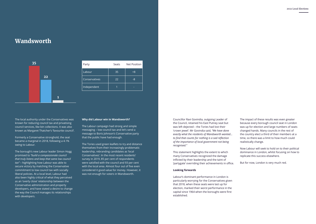#### Wandsworth

The local authority under the Conservatives was known for reducing council tax and privatising council services, like bin collections. It was also known as Margaret Thatcher's 'favourite council'.

Formerly a Conservative stronghold, the seat became a marginal in 2018, following a 4.1% swing to Labour.

The borough's new Labour leader Simon Hogg promised to *"build a compassionate council that truly listens and keep that same low council tax"* – highlighting how Labour was able to secure victory by matching the Conservative commitment to low council tax with socially liberal policies. At a local level, Labour had also been highly critical of what they perceived as an 'overly close' relationship between the Conservative administration and property developers, and have stated a desire to change the way the Council manages its relationships with developers.

#### **Why did Labour win in Wandsworth?**

The Labour campaign had strong and simple messaging – low council tax and let's send a message to Boris Johnson's Conservative party that the public have had enough.

The Tories used green leaflets to try and distance themselves from their increasingly problematic leadership, rebranding candidates as 'local Conservatives'. In the most recent residents' survey in 2019, 85 per cent of respondents were satisfied with the council and 93 per cent with the local area. Almost four out of five even considered it good value for money. However, it was not enough for voters in Wandsworth.

| Party         | Seats | <b>Net Position</b> |
|---------------|-------|---------------------|
| Labour        | 35    | $+8$                |
| Conservatives | 22    | -8                  |
| Independent   |       |                     |



Councillor Ravi Govindia, outgoing Leader of the Council, retained his East Putney seat but was left dejected – the Tories had lost their 'crown jewel'. Mr Govindia said, *"We have done exactly what the residents of Wandsworth wanted… to find that counts for nothing is a sad reflection of the importance of local government not being recognised."* 

This statement highlights the extent to which many Conservatives recognized the damage inflicted by their leadership and the taint of 'partygate' overriding their achievements in office.

#### **Looking forwards**

Labour's dominant performance in London is particularly worrying for the Conservatives given that 2018, when these seats were last up for election, marked their worst performance in the capital since 1964 when the boroughs were first established.

The impact of these results was even greater because every borough council seat in London was up for election and large numbers of seats changed hands. Many councils in the rest of the country elect a third of their members at a time, so there was a limit to how much could realistically change.

Now Labour will seek to hold on to their political dominance in London, whilst focusing on how to replicate this success elsewhere.

But for now, London is very much red.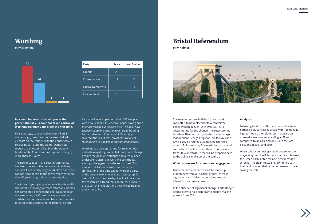## Worthing

**Billy Greening**

| In a stunning result that will please the     |  |
|-----------------------------------------------|--|
| party nationally, Labour has taken control of |  |
| Worthing Borough Council for the first time.  |  |

Five years ago, Labour had no councillors in the borough, now they run the town hall with 23 seats on the council, with the Conservatives collapsing to 12 and the Liberal Democrats reduced to one councillor. Even the Deputy Leader of the Council was not spread, losing by more than 450 votes.

The rise of Labour in this coastal community has been meteoric, the demographic shift and overspill from nearby Brighton & Hove had seen Labour reconnect with the town, where for more than 40 years, they held no representation.

The influx of younger, professional families with liberal values looking for more affordable homes has completely changed the political outlook of the area. Now, the Conservatives are seen as outdated and unpopular and have paid the price for local complacency and the national picture.

Labour will now implement their '100 day plan' with new Leader Cllr Rebecca Cooper saying, *"Our priorities include our housing crisis - we don't have enough council or social housing".* Neighbouring Labour Member of Parliament, Peter Kyle said that the result was, *"proof that Labour is reconnecting to traditional coastal communities"*.

Worthing is a borough prime for regeneration and urban uplifting, voters felt ready for a change despite the positive work that had already been undertaken. Victory in Worthing sets the cat amongst the pigeons on the south coast. This new win for Labour shows how the party is shifting, for a long time Labour were the party of the coastal towns. With social-demographic overspill from cities nearby, it will be interesting to see if this is a trend that continues. If Labour are to win the next election, they will be hoping that it has to be.

| Party                    | Seats | <b>Net Position</b> |
|--------------------------|-------|---------------------|
| Labour                   | 23    | $+6$                |
| Conservatives            | 12    | -5                  |
| <b>Liberal Democrats</b> |       | $-1$                |
| Independent              |       |                     |



## Bristol Referendum

**Billy Holmes**



The mayoral system in Bristol (mayor and cabinet) is to be replaced with a committeebased system in 2024, with 59% (56,113) of voters opting for the change. The result comes less than 10 after the city elected its first mayor, independent George Ferguson, on 15 Nov 2012. It will likely be ratified at a meeting later this month. Following this, Bristol will be run by a full council and 8 policy committees of councillors from 2024 onwards. These will be proportionate to the political make-up of the council.

#### **What this means for comms and engagement**

Given the new committees will be made up of members from all political groups, there is a greater risk of delays to decisions around infrastructure programmes.

In the absence of significant change, Carla Denyer seems likely to hold significant decision-making powers from 2024.

#### **Analysis**

Following lacklustre efforts to promote it (main parties solely canvassed areas with traditionally high turnouts), the referendum received an unusually low turnout, standing at 29% compared to 41.04% and 44.76% in the local elections in 2021 and 2016.

While Labour confusingly made a case for the mayoral system itself, but not the mayor himself, the Green party opted for one clear message: scrap it. This clear messaging, combined with their ability to get their vote out, seems to have swung the vote.

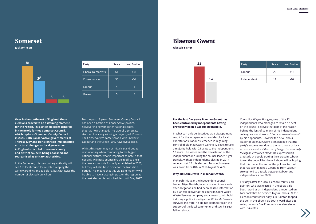#### Somerset

**Jack Johnson**

| Over in the southwest of England, these          |
|--------------------------------------------------|
| elections proved to be a defining moment         |
| for the region. This set of elections ushered    |
| in the newly formed Somerset Council,            |
| which replaces Somerset County Council           |
| in 2023. Both Conservative governments of        |
| <b>Theresa May and Boris Johnson implemented</b> |
| structural changes to local government           |
| in England which led to several county           |
| and district councils being abolished and        |
| reorganised as unitary authorities.              |

In the Somerset, this new unitary authority will see 110 local councillors elected keeping the same ward divisions as before, but with twice the number of elected councillors.

For the past 13 years, Somerset County Council has been a bastion of Conservative politics, however in line with other national results that has now changed. The Liberal Democrats stormed to victory winning a majority of 61 seats. The Conservatives came second with 36 whilst Labour and the Green Party have five a piece.

Whilst this result may not initially stand out as revolutionary when comparing to the bigger, national picture, what is important to note is that not only will these councillors be in office once the new authority is formally established in 2023, but they will also be in office for the transition period. This means that this Lib Dem majority will be able to have a lasting impact on the region as the next election is not scheduled until May 2027.

| Party                    | Seats | <b>Net Position</b> |  |  |  |
|--------------------------|-------|---------------------|--|--|--|
| <b>Liberal Democrats</b> | 61    | $+37$               |  |  |  |
| Conservatives            | 36    | -34                 |  |  |  |
| Labour                   | 5     | -1                  |  |  |  |
| Green                    | 5     | $+1$                |  |  |  |



## Blaenau Gwent

**Alastair Fisher**

**For the last five years Blaenau Gwent has been controlled by independents having previously been a Labour stronghold.** 

In what can only be described as a disappointing result for the independents, and despite local expectations, Labour succeeded in regaining control of Blaenau Gwent gaining 12 seats to take a majority hold with 21 seats to the independents 12 seats. The losses saw the devastation of the independents, including the council leader Nigel Daniels, with 28 independents elected in 2017 reduced just 12 this election. Turnout however was down from 40% in 2018 to just 32.49%.

#### **Why did Labour win in Blaenau Gwent?**

In March this year the independent council leader, Nigel Daniels, faced a no-confidence vote after allegations he had been passed information by a whistle-blower at the council's Silent Valley Waste Services company and chosen to withhold it during a police investigation. While Mr Daniels survived this vote, he did not seem to regain the support of the local community and saw his seat fall to Labour.

Councillor Wayne Hodgins, one of the 12 independents who managed to retain his seat on the council believes that part of the reason behind the loss of so many of his independent colleagues was down to *"character assassinations"* by his opponents. However the new Labour leader of Blaenau Gwent acknowledge that the party's success was due to the hard work of local activists, as well as *"the cost of living crisis obviously [being] on everyone's mind."* He expressed his gratitude at people putting their trust in Labour to run the council for them. Labour will be hoping that this marks the end of the political turmoil that has seen Blaenau Gwent go from Labour strong hold to a tussle between Labour and independents since 2008.

Just days after the local election results, Carl Bainton, who was elected in the Ebbw Vale South ward as an Independent, announced on Facebook that he decided to join Labour. At the election results last Friday, Cllr Bainton topped the poll in the Ebbw Vale South ward after 385 votes, Labour's Sue Edmunds was also elected with 354 votes.



| Party       | Seats | <b>Net Position</b> |
|-------------|-------|---------------------|
| Labour      | 22    | $+13$               |
| Independent | 11    | $-10$               |

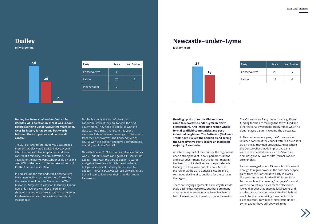Newcastle-under-Lyme

**Jack Johnson**

**Heading up North to the Midlands, we come to Newcastle-under-Lyme in North Staffordshire. And interesting region whose formal coalfield communities and postindustrial neighbour 'The Potteries' (Stoke-on-Trent) have bucked the London trend seeing the Conservative Party secure an increased majority. A reminder**

An interesting part of the country, the region was once a strong hold of Labour parliamentarians and local government, but this former majority has been in quick decline over the past decade leading to a total wipe out of Labour MPs in the region at the 2019 General Election and a continued decline of councillors for the party in the region.

There are varying arguments as to why this wide scale decline has occurred, but there are many arguments that an underlying issue has been a lack of investment in infrastructure in the region. The Conservative Party has secured significant funding for the are through the towns fund and other national investment programmes which no doubt played a part in 'wooing' the electorate.

In Newcastle-under-Lyme, the Conservatives retained control of the council with 24 Councillors up on the 23 they had previously. Areas where the Conservatives made impressive gains were in ex-coalfield seats such as Silverdale, and Kidsgrove & Ravenscliffe (former Labour strongholds).

Labour managed to win 19 seats, but this wasn't enough to regain power at the authority despite gains from the Conservative Party in places like Wolstanton and Bradwell. Whilst national factors such as the ongoing 'party-gate' scandal were no doubt key issues for the electorate, it would appear that ongoing local events and an electorate that continues to feel left behind would be the main driving force behind this election result. To win back Newcastle-under-Lyme, Labour have still got work to do.





| Party         | Seats | <b>Net Position</b> |
|---------------|-------|---------------------|
| Conservatives | 25    | $+7$                |
| Labour        | 19    | -1                  |



**Billy Greening**

**Dudley has been a bellwether Council for decades. At is creation in 1974 it was Labour, before swinging Conservative two years later. Over its history it has swung backwards between the two parties and no overall control.**

The 2016 BREXIT referendum was a watershed moment. Dudley voted 68/32 to leave. A year later, the Conservatives capitalised and took control of a minority led administration. Four years later the party swept Labour aside by taking over 60% of the vote on offer to take full control for the first time since 2004.

In and around the midlands, the Conservatives have been locking up their support. Shown by the re-election of popular Mayor for the West Midlands, Andy Street last year. In Dudley, Labour now only have one Member of Parliament, showing the amount of work that has to be done for them to win over the hearts and minds of local people.

Dudley is exactly the sort of place that Labour must win if they are to form the next government. They need to appeal to working class patriotic BREXIT voters. In this year's elections, Labour achieved a net gain of two seats from the Conservatives. The Conservatives of course won the election and have a commanding majority within the Council.

Nevertheless, in 2021 the Conservatives in Dudley won 21 out of 24 wards and gained 11 seats from Labour. This year, the parties tied in 12 wards and gained two seats. It might be a low base, but green shoots of recovery can be seen for Labour. The Conservatives will still be walking tall, but will start to look over their shoulders more frequently.



| Party         | Seats | <b>Net Position</b> |
|---------------|-------|---------------------|
| Conservatives | 46    | $-2$                |
| Labour        | 26    | $+2$                |
| Independent   |       |                     |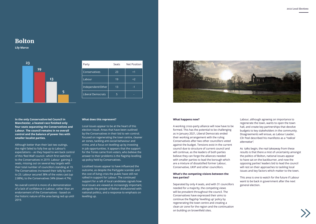## Bolton

**Lily Marco**

**In the only Conservative-led Council in Manchester, a heated race finished only four seats separating the Conservatives and Labour. The council remains in no overall control and the balance of power lies with smaller localist parties.**

Although better than their last two outings, the night failed to fully live up to Labour's expectations – as they hoped to win back control of this 'Red Wall' council– which first switched to the Conservatives in 2019. Labour gaining 2 seats, missing out on several key targets with their total number of councillors standing at 19. The Conservatives increased their tally by one – to 23. Labour secured 38% of the votes cast (up 2.88%), to the Conservatives 34% (down 4.7%)

No overall control is more of a demonstration of a lack of confidence in Labour, rather than an endorsement of the Conservatives - based on the historic nature of the area being red up until 2019.

#### **What does this represent?**

Local issues appear to be at the heart of this election result. Areas that have been outlined by the Conservatives in their bid to win control; focused on regenerating the town centre, cleaner air zones, tackling anti-social behaviour and crime, and a focus on levelling up by investing in job opportunities. It appears that the support for the Tories came from voters, who believe the answer to their problems is the flagship levelling up policy held by Conservatives.

Localised issues appear to have influenced the outcome, as despite the Partygate scandal, and the cost of living crisis the public have still not rallied in support for Labour. The continued support for a raft of local candidates signals how local issues are viewed as increasingly important, alongside the people of Bolton disillusioned with national politics, and a response to emphasis on levelling up.



| Party                    | Seats | <b>Net Position</b> |
|--------------------------|-------|---------------------|
| Conservatives            | 23    | $+1$                |
| Labour                   | 19    | $+2$                |
| Independent/Other        | 13    | $-1$                |
| <b>Liberal Democrats</b> | 5     |                     |

#### **What happens now?**

A working cross-party alliance will now have to be formed. This has the potential to be challenging as in January 2021, Liberal Democrats ended their working arrangement with the ruling Conservatives after two other councillors voted against the budget. Tensions exist in the current council due to structure of current council and will continue, as the leaders of both parties believe they can forge the alliances needed with smaller parties to lead the borough which are a mixture of dissatisfied former Labour, Conservative, UKIP and other councillors.

#### **What's the competing visions between the two parties?**

Separated by only 4 seats, and with 31 councillors needed for a majority, the competing views will be prevalent throughout the council. The Conservatives have expressed their aims to continue the flagship 'levelling up' policy by regenerating the town centre and creating a clean air zone for the region and the continuation on building on brownfield sites.



Labour, although agreeing on importance to regenerate the town, wants to open the town hall, and create key partnerships that devolve budgets to key stakeholders in the community. Disagreements will ensue, as Labour Leader, Cllr Peel described his manifesto as a *"radical alternative".*

As talks begin, the real takeaway from these results is that there a mist of uncertainty amongst the politics of Bolton, national issues appear to have sat on the backburner, and now the opposing parties' leaders bid to lead the council will rest on their approaches to tackling local issues and key factors which matter to the town.

This area is one to watch for the future if Labour want to be back in government after the next general election.

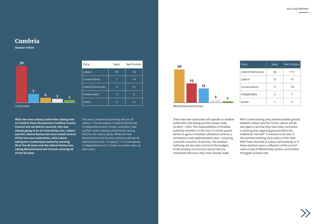## Cumbria

**Alastair Fisher**

These two new authorities will operate as shadow authorities until taking up their powers fully on April 1 2023. The responsibilities of Shadow Authority members in this first 12 month period will be to agree a members allowance scheme, a constitution and implementation plan – ensuring a smooth transition of services. The Shadow Authority will also take control of the budgets of the existing councils but cannot halt any investment decisions they have already made.

With Cumbria being a key electoral battle ground between Labour and the Tories, Labour will be very glad to see that they have been successful in winning and regaining ground within the traditional "red wall". It remains to be seen if the northern working class voters of the "Red Wall" have returned to Labour permanently or if these elections were a reflection of the current state of play of Westminster politics and another 'Partygate' protest vote.





| Party                    | <b>Seats</b>  | <b>Net Position</b> |  |  |  |
|--------------------------|---------------|---------------------|--|--|--|
| <b>Liberal Democrats</b> | 36            | $+13$               |  |  |  |
| Labour                   | 15            | $+3$                |  |  |  |
| Conservatives            | 11            | $-16$               |  |  |  |
| Independent              | $\mathcal{P}$ | $-1$                |  |  |  |
| Green                    |               | $+1$                |  |  |  |



**With two new unitary authorities taking over in Cumbria from the previous Cumbria County Council and six district councils, this was always going to be an interesting race. Labour and the Liberal Democrats have seized control of the two new authorities, with Labour taking the Cumberland authority winning 30 of the 46 seats and the Liberal Democrats taking Westmorland and Furness winning 36 of the 65 seats.** 

| 30         |                               | Party                    | Seats           | Net Position |  | 26 |                                |    |              |   |
|------------|-------------------------------|--------------------------|-----------------|--------------|--|----|--------------------------------|----|--------------|---|
|            |                               | Labour                   | 30 <sup>°</sup> | $+12$        |  |    |                                |    |              |   |
|            |                               | Conservatives            | $\overline{7}$  | $-14$        |  |    | 15                             |    |              |   |
|            |                               | <b>Liberal Democrats</b> | $\overline{4}$  | $+2$         |  |    |                                | 11 |              |   |
|            | 7<br>4<br>3<br>$\overline{2}$ | Independent              | 3               | $-2$         |  |    |                                |    | $\mathbf{2}$ | 1 |
|            |                               | Green                    | $\overline{2}$  | $+2$         |  |    |                                |    |              |   |
| Cumberland |                               |                          |                 |              |  |    | <b>Westmorland and Furness</b> |    |              |   |

The new Cumberland authority will see 30 Labour, 7 Conservatives, 4 Liberal Democrats, 3 independents and 2 Green councillors take up their seats making Cumberland a strong hold for the Labour party. While the new Westmorland and Furness authority will see 36 Liberal Democrats, 15 Labour, 11 Conservatives, 2 independents and 1 Green councillors take up their seats.